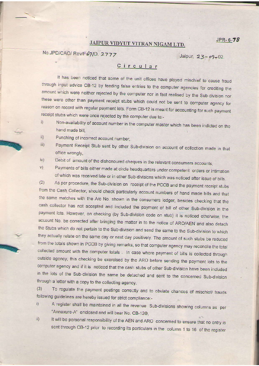## JAIPUR VIDYUT VITRAN NIGAM LTD.

No.JPD/CAO/ Rev/F-67/D. 2777

Jaipur, 23-09-02.

## Circular

It has been noticed that some of the unit offices have played mischief to cause fraud through input advice CB-12 by feeding false entries to the computer agencies for crediting the amount which were neither rejected by the computer nor in fact realised by the Sub-division nor these were other than payment receipt stubs which could not be sent to computer agency for reason on record with regular payment lots. Form CB-12 is meant for accounting for such payment receipt stubs which were once rejected by the computer due to:-

- Non-availability of account number in the computer master which has been indicted on the  $i)$ hand made bill.
- ii) Punching of incorrect account number,
- Payment Receipt Stub sent by other Sub-division on account of collection made in that iii) office wrongly,
- Debit of amount of the dishonoured cheques in the relevant consumers accounts,  $iv)$
- Payments of bills either made at circle headquarters under competent orders or intimation  $V)$ of which was received late or in other Sub-divisions which was noticed after issue of bills.

As per procedure, the Sub-division on receipt of the PCCB and the payment receipt stubs  $(2)$ from the Cash Collector, should check particularly account numbers of hand made bills and that the same matches with the A/c No. shown in the consumers ledger, besides checking that the cash collector has not accepted and included the payment of bill of other Sub-division in the payment lots. However, on checking (by Sub-division code on stub) it is noticed otherwise, the account No. be corrected after bringing the matter in to the notice of ARO/AEN and also detach the Stubs which do not pertain to the Sub-division and send the same to the Sub-division to which they actually relate on the same day or next day positively. The amount of such stubs be reduced from the totals shown in PCCB by giving remarks, so that computer agency may reconcile the total collected amount with the computer totals. In case where payment of bills is collected through outside agency, this checking be exercised by the ARO before sending the payment lots to the computer agency and if it is noticed that the cash stubs of other Sub-division have been included in the lots of the Sub-division the same be detached and sent to the concerned Sub-division through a letter with a copy to the collecting agency.

To regulate the payment postings correctly and to obviate chances of mischief/ frauds  $(3)$ following guidelines are hereby issued for strict compliance:-

- A register shall be maintained in all the revenue Sub-divisions showing columns as per  $i)$ "Annexure-A" enclosed and will bear No. CB-12®,
- It will be personal responsibility of the AEN and ARO concerned to ensure that no entry is  $\overline{ii}$ sent through CB-12 prior to recording its particulars in the column 1 to 16 of the register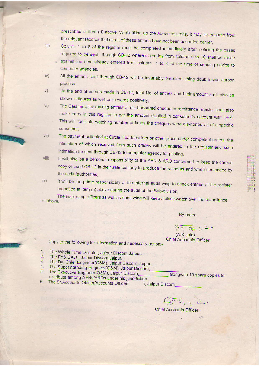prescribed at item ( i) above. While filling up the above columns, it may be ensured from the relevant records that credit of these entries have not been accorded earlier.

- Column 1 to 8 of the register must be completed immediately after noticing the cases required to be sent through CB-12 whereas entries from column 9 to 16 shall be made against the item already entered from column  $1$  to 8, at the time of sending advice to computer agencies,
- All the entries sent through CB-12 will be invariably prepared using double side carbon process. v)
- At the end of entries made in CB-12, total No. of entries and their amount shall also be shown in figures as well as in words positively, v)
- The Cashier after making entries of dis-honoured cheque in remittance register shall also make entry in this register to get the amount debited in consumer's account with DPS. This will facilitate watching number of times the cheques were dis-honoured of a specific consumer vi)
- The payment collected at Circle Headquarters or other place under competent orders, the intimation of which received from such offices will be entered in the register and such  $VII)$ intimation be sent through CB-12 to computer agency for posting,
- viii) It will also be a personal responsibility of the AEN & ARO concerned to keep the carbon copy of used CB-12 in their safe custody to produce the same as and when demanded by the audit /authorities,
- $\overline{r}$  It will be the prime responsibility of the internal audit wing to check entries of the register proposed at item ( i) above during the audit of the Sub-division,

of above. "bouJh. The inspecting officers as well as audit wing will keep a close watch over the compliance

By order,

 $552$ (A.K.Jain) **Chief Accounts Officer** 

Copy to the following for information and necessary action:-

- $1<sub>1</sub>$ The Whole Time Director, Jaipur Discom, Jaipur.
- 2.

**light of the control** 

iii)

I

i<br>in 1992<br>in 1993<br>in 1994

- 3. The FA& CAO, Jaipur Discom, Jaipur.<br>The Dy. Chief Engineer(O&M), Jaipur Discom, Jaipur.
- 4. The Superintending Engineer(O&M), Jaipur Discom,<br>The Executive Engineer(O&M), Jaipur Discom,
- 5. The Executive Engineer(O&M), Jaipur Discom,<br>distribute among AENs/AROs under his jurisdiction.
- 6. The Sr. Accounts Officer/Accounts Officer( ), Jaipur Discom

 $\sqrt{1}$  $47322$ 

**Chief Accounts Officer**